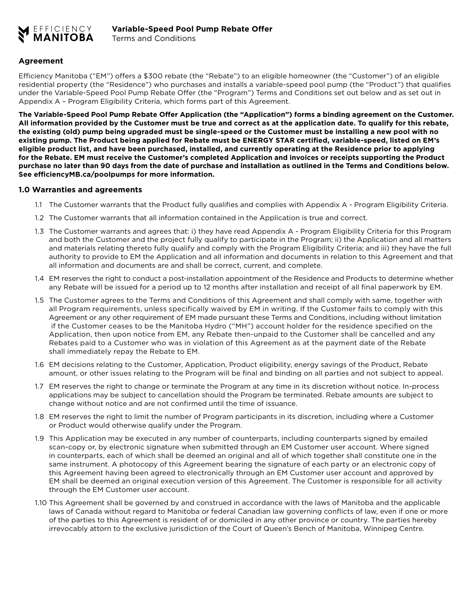

## **Agreement**

Efficiency Manitoba ("EM") offers a \$300 rebate (the "Rebate") to an eligible homeowner (the "Customer") of an eligible residential property (the "Residence") who purchases and installs a variable-speed pool pump (the "Product") that qualifies under the Variable-Speed Pool Pump Rebate Offer (the "Program") Terms and Conditions set out below and as set out in Appendix A – Program Eligibility Criteria, which forms part of this Agreement.

**The Variable-Speed Pool Pump Rebate Offer Application (the "Application") forms a binding agreement on the Customer. All information provided by the Customer must be true and correct as at the application date. To qualify for this rebate, the existing (old) pump being upgraded must be single-speed or the Customer must be installing a new pool with no existing pump. The Product being applied for Rebate must be ENERGY STAR certified, variable-speed, listed on EM's eligible product list, and have been purchased, installed, and currently operating at the Residence prior to applying for the Rebate. EM must receive the Customer's completed Application and invoices or receipts supporting the Product purchase no later than 90 days from the date of purchase and installation as outlined in the Terms and Conditions below. See efficiencyMB.ca/poolpumps for more information.**

#### **1.0 Warranties and agreements**

- 1.1 The Customer warrants that the Product fully qualifies and complies with Appendix A Program Eligibility Criteria.
- 1.2 The Customer warrants that all information contained in the Application is true and correct.
- 1.3 The Customer warrants and agrees that: i) they have read Appendix A Program Eligibility Criteria for this Program and both the Customer and the project fully qualify to participate in the Program; ii) the Application and all matters and materials relating thereto fully qualify and comply with the Program Eligibility Criteria; and iii) they have the full authority to provide to EM the Application and all information and documents in relation to this Agreement and that all information and documents are and shall be correct, current, and complete.
- 1.4 EM reserves the right to conduct a post-installation appointment of the Residence and Products to determine whether any Rebate will be issued for a period up to 12 months after installation and receipt of all final paperwork by EM.
- 1.5 The Customer agrees to the Terms and Conditions of this Agreement and shall comply with same, together with all Program requirements, unless specifically waived by EM in writing. If the Customer fails to comply with this Agreement or any other requirement of EM made pursuant these Terms and Conditions, including without limitation if the Customer ceases to be the Manitoba Hydro ("MH") account holder for the residence specified on the Application, then upon notice from EM, any Rebate then-unpaid to the Customer shall be cancelled and any Rebates paid to a Customer who was in violation of this Agreement as at the payment date of the Rebate shall immediately repay the Rebate to EM.
- 1.6 EM decisions relating to the Customer, Application, Product eligibility, energy savings of the Product, Rebate amount, or other issues relating to the Program will be final and binding on all parties and not subject to appeal.
- 1.7 EM reserves the right to change or terminate the Program at any time in its discretion without notice. In-process applications may be subject to cancellation should the Program be terminated. Rebate amounts are subject to change without notice and are not confirmed until the time of issuance.
- 1.8 EM reserves the right to limit the number of Program participants in its discretion, including where a Customer or Product would otherwise qualify under the Program.
- 1.9 This Application may be executed in any number of counterparts, including counterparts signed by emailed scan-copy or, by electronic signature when submitted through an EM Customer user account. Where signed in counterparts, each of which shall be deemed an original and all of which together shall constitute one in the same instrument. A photocopy of this Agreement bearing the signature of each party or an electronic copy of this Agreement having been agreed to electronically through an EM Customer user account and approved by EM shall be deemed an original execution version of this Agreement. The Customer is responsible for all activity through the EM Customer user account.
- 1.10 This Agreement shall be governed by and construed in accordance with the laws of Manitoba and the applicable laws of Canada without regard to Manitoba or federal Canadian law governing conflicts of law, even if one or more of the parties to this Agreement is resident of or domiciled in any other province or country. The parties hereby irrevocably attorn to the exclusive jurisdiction of the Court of Queen's Bench of Manitoba, Winnipeg Centre.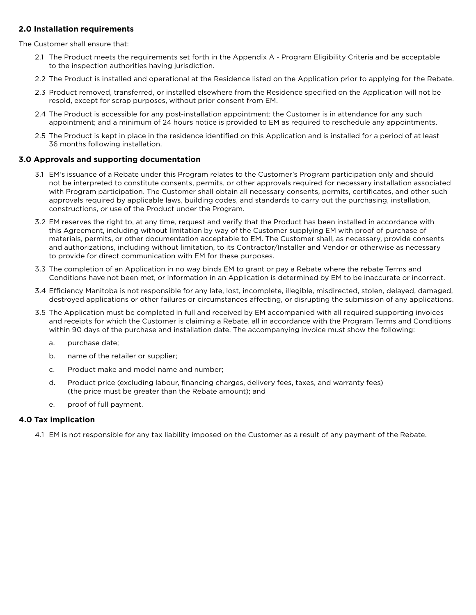## **2.0 Installation requirements**

The Customer shall ensure that:

- 2.1 The Product meets the requirements set forth in the Appendix A Program Eligibility Criteria and be acceptable to the inspection authorities having jurisdiction.
- 2.2 The Product is installed and operational at the Residence listed on the Application prior to applying for the Rebate.
- 2.3 Product removed, transferred, or installed elsewhere from the Residence specified on the Application will not be resold, except for scrap purposes, without prior consent from EM.
- 2.4 The Product is accessible for any post-installation appointment; the Customer is in attendance for any such appointment; and a minimum of 24 hours notice is provided to EM as required to reschedule any appointments.
- 2.5 The Product is kept in place in the residence identified on this Application and is installed for a period of at least 36 months following installation.

## **3.0 Approvals and supporting documentation**

- 3.1 EM's issuance of a Rebate under this Program relates to the Customer's Program participation only and should not be interpreted to constitute consents, permits, or other approvals required for necessary installation associated with Program participation. The Customer shall obtain all necessary consents, permits, certificates, and other such approvals required by applicable laws, building codes, and standards to carry out the purchasing, installation, constructions, or use of the Product under the Program.
- 3.2 EM reserves the right to, at any time, request and verify that the Product has been installed in accordance with this Agreement, including without limitation by way of the Customer supplying EM with proof of purchase of materials, permits, or other documentation acceptable to EM. The Customer shall, as necessary, provide consents and authorizations, including without limitation, to its Contractor/Installer and Vendor or otherwise as necessary to provide for direct communication with EM for these purposes.
- 3.3 The completion of an Application in no way binds EM to grant or pay a Rebate where the rebate Terms and Conditions have not been met, or information in an Application is determined by EM to be inaccurate or incorrect.
- 3.4 Efficiency Manitoba is not responsible for any late, lost, incomplete, illegible, misdirected, stolen, delayed, damaged, destroyed applications or other failures or circumstances affecting, or disrupting the submission of any applications.
- 3.5 The Application must be completed in full and received by EM accompanied with all required supporting invoices and receipts for which the Customer is claiming a Rebate, all in accordance with the Program Terms and Conditions within 90 days of the purchase and installation date. The accompanying invoice must show the following:
	- a. purchase date;
	- b. name of the retailer or supplier;
	- c. Product make and model name and number;
	- d. Product price (excluding labour, financing charges, delivery fees, taxes, and warranty fees) (the price must be greater than the Rebate amount); and
	- e. proof of full payment.

### **4.0 Tax implication**

4.1 EM is not responsible for any tax liability imposed on the Customer as a result of any payment of the Rebate.